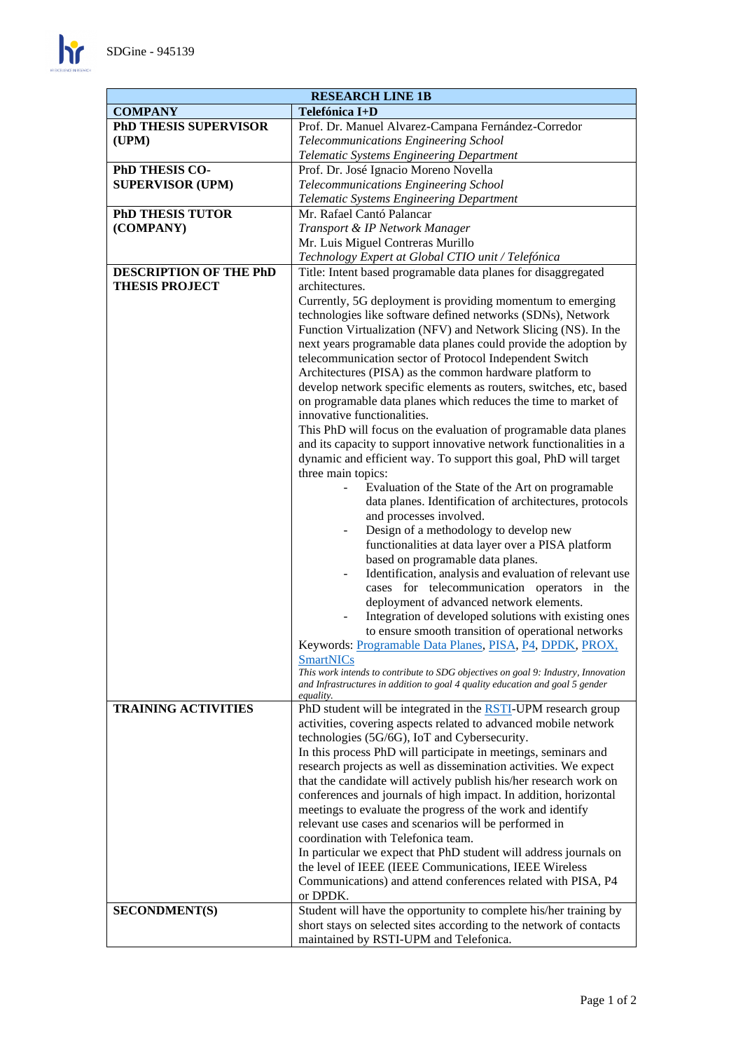

| <b>RESEARCH LINE 1B</b>          |                                                                                                                                    |
|----------------------------------|------------------------------------------------------------------------------------------------------------------------------------|
| Telefónica I+D<br><b>COMPANY</b> |                                                                                                                                    |
| <b>PhD THESIS SUPERVISOR</b>     | Prof. Dr. Manuel Alvarez-Campana Fernández-Corredor                                                                                |
| (UPM)                            | Telecommunications Engineering School                                                                                              |
|                                  | Telematic Systems Engineering Department                                                                                           |
| PhD THESIS CO-                   | Prof. Dr. José Ignacio Moreno Novella                                                                                              |
| <b>SUPERVISOR (UPM)</b>          | Telecommunications Engineering School                                                                                              |
|                                  | Telematic Systems Engineering Department                                                                                           |
| <b>PhD THESIS TUTOR</b>          | Mr. Rafael Cantó Palancar                                                                                                          |
| (COMPANY)                        | Transport & IP Network Manager                                                                                                     |
|                                  | Mr. Luis Miguel Contreras Murillo                                                                                                  |
|                                  | Technology Expert at Global CTIO unit / Telefónica                                                                                 |
| DESCRIPTION OF THE PhD           | Title: Intent based programable data planes for disaggregated                                                                      |
| <b>THESIS PROJECT</b>            | architectures.                                                                                                                     |
|                                  | Currently, 5G deployment is providing momentum to emerging                                                                         |
|                                  | technologies like software defined networks (SDNs), Network                                                                        |
|                                  | Function Virtualization (NFV) and Network Slicing (NS). In the<br>next years programable data planes could provide the adoption by |
|                                  | telecommunication sector of Protocol Independent Switch                                                                            |
|                                  | Architectures (PISA) as the common hardware platform to                                                                            |
|                                  | develop network specific elements as routers, switches, etc, based                                                                 |
|                                  | on programable data planes which reduces the time to market of                                                                     |
|                                  | innovative functionalities.                                                                                                        |
|                                  | This PhD will focus on the evaluation of programable data planes                                                                   |
|                                  | and its capacity to support innovative network functionalities in a                                                                |
|                                  | dynamic and efficient way. To support this goal, PhD will target                                                                   |
|                                  | three main topics:                                                                                                                 |
|                                  | Evaluation of the State of the Art on programable                                                                                  |
|                                  | data planes. Identification of architectures, protocols                                                                            |
|                                  | and processes involved.                                                                                                            |
|                                  | Design of a methodology to develop new                                                                                             |
|                                  | functionalities at data layer over a PISA platform                                                                                 |
|                                  | based on programable data planes.                                                                                                  |
|                                  | Identification, analysis and evaluation of relevant use                                                                            |
|                                  | cases for telecommunication operators in the                                                                                       |
|                                  | deployment of advanced network elements.                                                                                           |
|                                  | Integration of developed solutions with existing ones                                                                              |
|                                  | to ensure smooth transition of operational networks<br>Keywords: Programable Data Planes, PISA, P4, DPDK, PROX,                    |
|                                  | <b>SmartNICs</b>                                                                                                                   |
|                                  | This work intends to contribute to SDG objectives on goal 9: Industry, Innovation                                                  |
|                                  | and Infrastructures in addition to goal 4 quality education and goal 5 gender                                                      |
|                                  | <i>equality.</i>                                                                                                                   |
| <b>TRAINING ACTIVITIES</b>       | PhD student will be integrated in the <b>RSTI</b> -UPM research group                                                              |
|                                  | activities, covering aspects related to advanced mobile network<br>technologies (5G/6G), IoT and Cybersecurity.                    |
|                                  | In this process PhD will participate in meetings, seminars and                                                                     |
|                                  | research projects as well as dissemination activities. We expect                                                                   |
|                                  | that the candidate will actively publish his/her research work on                                                                  |
|                                  | conferences and journals of high impact. In addition, horizontal                                                                   |
|                                  | meetings to evaluate the progress of the work and identify                                                                         |
|                                  | relevant use cases and scenarios will be performed in                                                                              |
|                                  | coordination with Telefonica team.                                                                                                 |
|                                  | In particular we expect that PhD student will address journals on                                                                  |
|                                  | the level of IEEE (IEEE Communications, IEEE Wireless                                                                              |
|                                  | Communications) and attend conferences related with PISA, P4                                                                       |
|                                  | or DPDK.                                                                                                                           |
| <b>SECONDMENT(S)</b>             | Student will have the opportunity to complete his/her training by                                                                  |
|                                  | short stays on selected sites according to the network of contacts                                                                 |
|                                  | maintained by RSTI-UPM and Telefonica.                                                                                             |